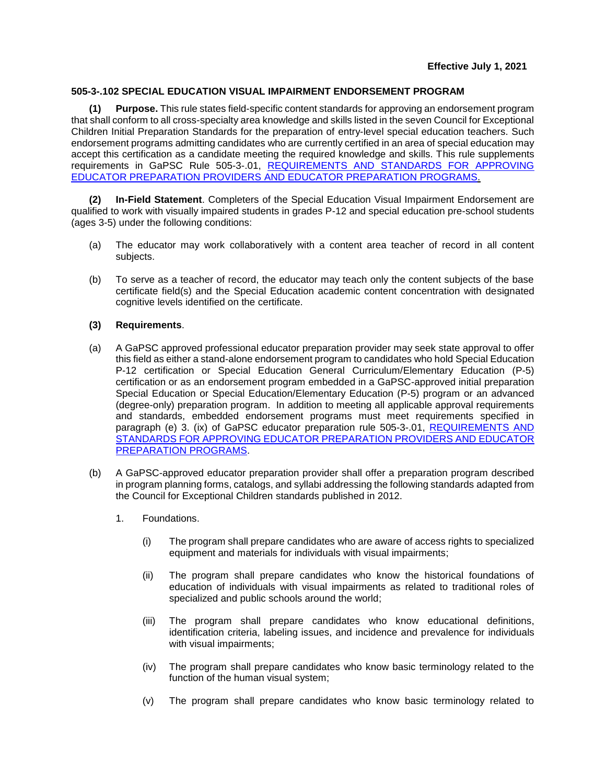## **505-3-.102 SPECIAL EDUCATION VISUAL IMPAIRMENT ENDORSEMENT PROGRAM**

**(1) Purpose.** This rule states field-specific content standards for approving an endorsement program that shall conform to all cross-specialty area knowledge and skills listed in the seven Council for Exceptional Children Initial Preparation Standards for the preparation of entry-level special education teachers. Such endorsement programs admitting candidates who are currently certified in an area of special education may accept this certification as a candidate meeting the required knowledge and skills. This rule supplements requirements in GaPSC Rule 505-3-.01, [REQUIREMENTS AND STANDARDS FOR APPROVING](https://www.gapsc.com/Rules/Current/EducatorPreparation/505-3-.01.pdf?dt=%3C%25#Eval() EDUCATOR PREPARATION PROVIDERS [AND EDUCATOR PREPARATION PROGRAMS.](https://www.gapsc.com/Rules/Current/EducatorPreparation/505-3-.01.pdf?dt=%3C%25#Eval()

**(2) In-Field Statement**. Completers of the Special Education Visual Impairment Endorsement are qualified to work with visually impaired students in grades P-12 and special education pre-school students (ages 3-5) under the following conditions:

- (a) The educator may work collaboratively with a content area teacher of record in all content subjects.
- (b) To serve as a teacher of record, the educator may teach only the content subjects of the base certificate field(s) and the Special Education academic content concentration with designated cognitive levels identified on the certificate.

## **(3) Requirements**.

- (a) A GaPSC approved professional educator preparation provider may seek state approval to offer this field as either a stand-alone endorsement program to candidates who hold Special Education P-12 certification or Special Education General Curriculum/Elementary Education (P-5) certification or as an endorsement program embedded in a GaPSC-approved initial preparation Special Education or Special Education/Elementary Education (P-5) program or an advanced (degree-only) preparation program. In addition to meeting all applicable approval requirements and standards, embedded endorsement programs must meet requirements specified in paragraph (e) 3. (ix) of GaPSC educator preparation rule 505-3-.01, [REQUIREMENTS AND](https://www.gapsc.com/Rules/Current/EducatorPreparation/505-3-.01.pdf?dt=%3C%25#Eval()  [STANDARDS FOR APPROVING EDUCATOR PREPARATION PROVIDERS AND EDUCATOR](https://www.gapsc.com/Rules/Current/EducatorPreparation/505-3-.01.pdf?dt=%3C%25#Eval()  [PREPARATION PROGRAMS.](https://www.gapsc.com/Rules/Current/EducatorPreparation/505-3-.01.pdf?dt=%3C%25#Eval()
- (b) A GaPSC-approved educator preparation provider shall offer a preparation program described in program planning forms, catalogs, and syllabi addressing the following standards adapted from the Council for Exceptional Children standards published in 2012.
	- 1. Foundations.
		- (i) The program shall prepare candidates who are aware of access rights to specialized equipment and materials for individuals with visual impairments;
		- (ii) The program shall prepare candidates who know the historical foundations of education of individuals with visual impairments as related to traditional roles of specialized and public schools around the world;
		- (iii) The program shall prepare candidates who know educational definitions, identification criteria, labeling issues, and incidence and prevalence for individuals with visual impairments;
		- (iv) The program shall prepare candidates who know basic terminology related to the function of the human visual system;
		- (v) The program shall prepare candidates who know basic terminology related to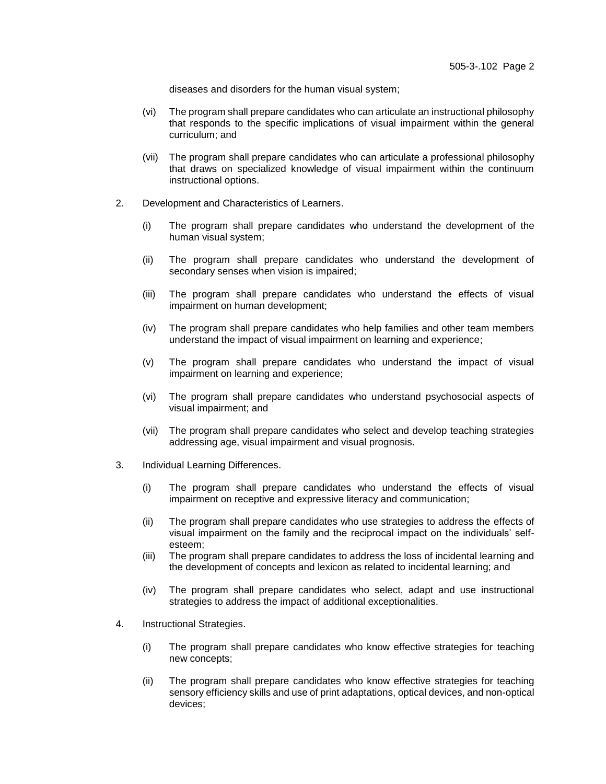diseases and disorders for the human visual system;

- (vi) The program shall prepare candidates who can articulate an instructional philosophy that responds to the specific implications of visual impairment within the general curriculum; and
- (vii) The program shall prepare candidates who can articulate a professional philosophy that draws on specialized knowledge of visual impairment within the continuum instructional options.
- 2. Development and Characteristics of Learners.
	- (i) The program shall prepare candidates who understand the development of the human visual system;
	- (ii) The program shall prepare candidates who understand the development of secondary senses when vision is impaired;
	- (iii) The program shall prepare candidates who understand the effects of visual impairment on human development;
	- (iv) The program shall prepare candidates who help families and other team members understand the impact of visual impairment on learning and experience;
	- (v) The program shall prepare candidates who understand the impact of visual impairment on learning and experience;
	- (vi) The program shall prepare candidates who understand psychosocial aspects of visual impairment; and
	- (vii) The program shall prepare candidates who select and develop teaching strategies addressing age, visual impairment and visual prognosis.
- 3. Individual Learning Differences.
	- (i) The program shall prepare candidates who understand the effects of visual impairment on receptive and expressive literacy and communication;
	- (ii) The program shall prepare candidates who use strategies to address the effects of visual impairment on the family and the reciprocal impact on the individuals' selfesteem;
	- (iii) The program shall prepare candidates to address the loss of incidental learning and the development of concepts and lexicon as related to incidental learning; and
	- (iv) The program shall prepare candidates who select, adapt and use instructional strategies to address the impact of additional exceptionalities.
- 4. Instructional Strategies.
	- (i) The program shall prepare candidates who know effective strategies for teaching new concepts;
	- (ii) The program shall prepare candidates who know effective strategies for teaching sensory efficiency skills and use of print adaptations, optical devices, and non-optical devices;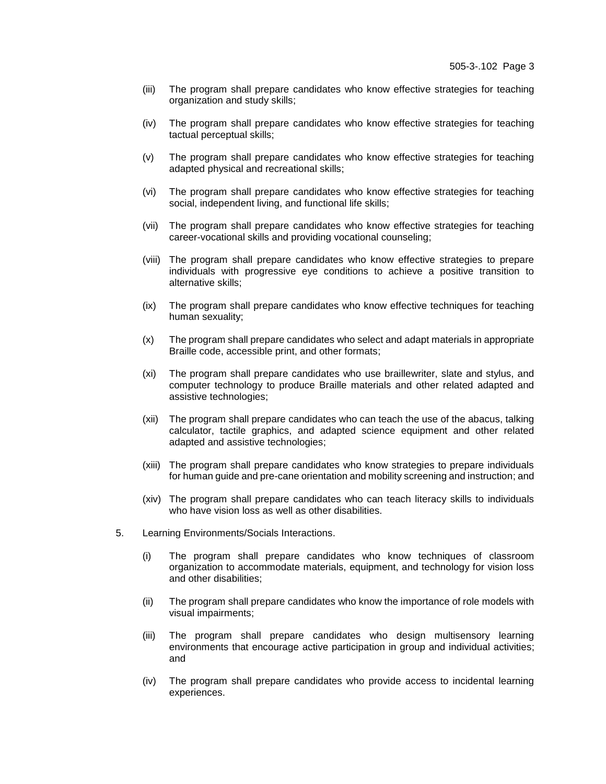- (iii) The program shall prepare candidates who know effective strategies for teaching organization and study skills;
- (iv) The program shall prepare candidates who know effective strategies for teaching tactual perceptual skills;
- (v) The program shall prepare candidates who know effective strategies for teaching adapted physical and recreational skills;
- (vi) The program shall prepare candidates who know effective strategies for teaching social, independent living, and functional life skills;
- (vii) The program shall prepare candidates who know effective strategies for teaching career-vocational skills and providing vocational counseling;
- (viii) The program shall prepare candidates who know effective strategies to prepare individuals with progressive eye conditions to achieve a positive transition to alternative skills;
- (ix) The program shall prepare candidates who know effective techniques for teaching human sexuality;
- (x) The program shall prepare candidates who select and adapt materials in appropriate Braille code, accessible print, and other formats;
- (xi) The program shall prepare candidates who use braillewriter, slate and stylus, and computer technology to produce Braille materials and other related adapted and assistive technologies;
- (xii) The program shall prepare candidates who can teach the use of the abacus, talking calculator, tactile graphics, and adapted science equipment and other related adapted and assistive technologies;
- (xiii) The program shall prepare candidates who know strategies to prepare individuals for human guide and pre-cane orientation and mobility screening and instruction; and
- (xiv) The program shall prepare candidates who can teach literacy skills to individuals who have vision loss as well as other disabilities.
- 5. Learning Environments/Socials Interactions.
	- (i) The program shall prepare candidates who know techniques of classroom organization to accommodate materials, equipment, and technology for vision loss and other disabilities;
	- (ii) The program shall prepare candidates who know the importance of role models with visual impairments;
	- (iii) The program shall prepare candidates who design multisensory learning environments that encourage active participation in group and individual activities; and
	- (iv) The program shall prepare candidates who provide access to incidental learning experiences.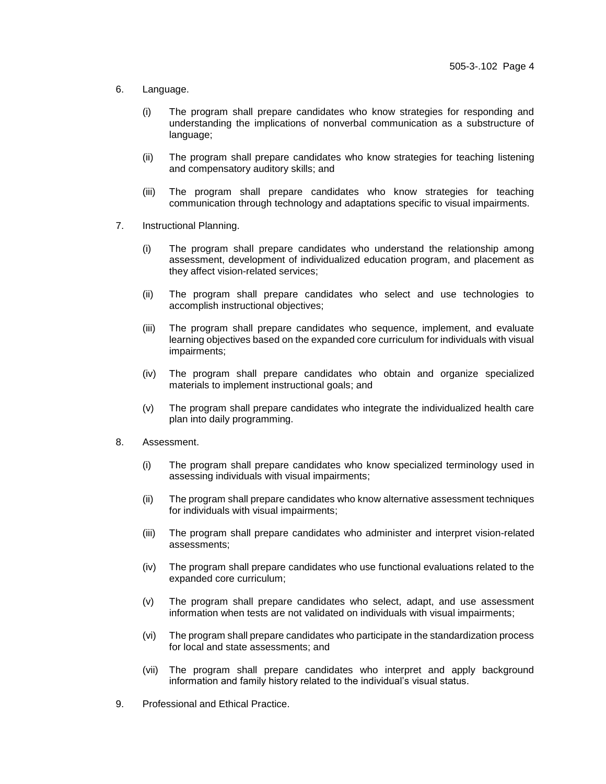- 6. Language.
	- (i) The program shall prepare candidates who know strategies for responding and understanding the implications of nonverbal communication as a substructure of language;
	- (ii) The program shall prepare candidates who know strategies for teaching listening and compensatory auditory skills; and
	- (iii) The program shall prepare candidates who know strategies for teaching communication through technology and adaptations specific to visual impairments.
- 7. Instructional Planning.
	- (i) The program shall prepare candidates who understand the relationship among assessment, development of individualized education program, and placement as they affect vision-related services;
	- (ii) The program shall prepare candidates who select and use technologies to accomplish instructional objectives;
	- (iii) The program shall prepare candidates who sequence, implement, and evaluate learning objectives based on the expanded core curriculum for individuals with visual impairments;
	- (iv) The program shall prepare candidates who obtain and organize specialized materials to implement instructional goals; and
	- (v) The program shall prepare candidates who integrate the individualized health care plan into daily programming.
- 8. Assessment.
	- (i) The program shall prepare candidates who know specialized terminology used in assessing individuals with visual impairments;
	- (ii) The program shall prepare candidates who know alternative assessment techniques for individuals with visual impairments;
	- (iii) The program shall prepare candidates who administer and interpret vision-related assessments;
	- (iv) The program shall prepare candidates who use functional evaluations related to the expanded core curriculum;
	- (v) The program shall prepare candidates who select, adapt, and use assessment information when tests are not validated on individuals with visual impairments;
	- (vi) The program shall prepare candidates who participate in the standardization process for local and state assessments; and
	- (vii) The program shall prepare candidates who interpret and apply background information and family history related to the individual's visual status.
- 9. Professional and Ethical Practice.